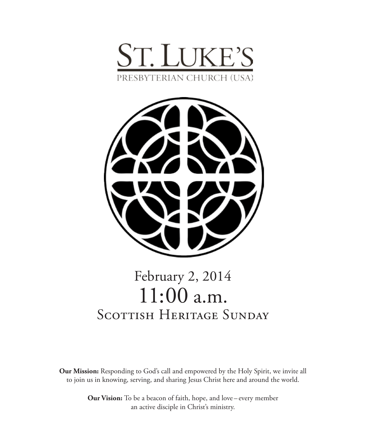



# February 2, 2014 11:00 a.m. SCOTTISH HERITAGE SUNDAY

**Our Mission:** Responding to God's call and empowered by the Holy Spirit, we invite all to join us in knowing, serving, and sharing Jesus Christ here and around the world.

> **Our Vision:** To be a beacon of faith, hope, and love – every member an active disciple in Christ's ministry.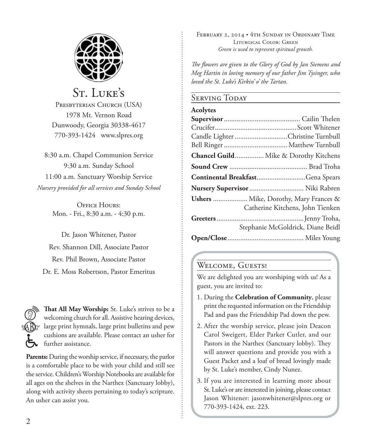

## St. Luke's

PRESBYTERIAN CHURCH (USA) 1978 Mt. Vernon Road Dunwoody, Georgia 30338-4617 770-393-1424 www.slpres.org

8:30 a.m. Chapel Communion Service 9:30 a.m. Sunday School 11:00 a.m. Sanctuary Worship Service *Nursery provided for all services and Sunday School*

> OFFICE HOURS: Mon. - Fri., 8:30 a.m. - 4:30 p.m.

Dr. Jason Whitener, Pastor Rev. Shannon Dill, Associate Pastor Rev. Phil Brown, Associate Pastor Dr. E. Moss Robertson, Pastor Emeritus



**That All May Worship:** St. Luke's strives to be a welcoming church for all. Assistive hearing devices, large print hymnals, large print bulletins and pew cushions are available. Please contact an usher for further assistance.

**Parents:** During the worship service, if necessary, the parlor is a comfortable place to be with your child and still see the service. Children's Worship Notebooks are available for all ages on the shelves in the Narthex (Sanctuary lobby), along with activity sheets pertaining to today's scripture. An usher can assist you.

FEBRUARY 2, 2014 • 4TH SUNDAY IN ORDINARY TIME Liturgical Color: Green *Green is used to represent spiritual growth.* 

*The flowers are given to the Glory of God by Jan Siemens and Meg Hartin in loving memory of our father Jim Tysinger, who loved the St. Luke's Kirkin' o' the Tartan.*

#### Serving Today

#### **Acolytes**

| Candle Lighter Christine Turnbull                                         |
|---------------------------------------------------------------------------|
|                                                                           |
| Chancel Guild Mike & Dorothy Kitchens                                     |
|                                                                           |
| Continental BreakfastGena Spears                                          |
| Nursery Supervisor  Niki Rabren                                           |
| Ushers  Mike, Dorothy, Mary Frances &<br>Catherine Kitchens, John Tienken |
| Stephanie McGoldrick, Diane Beidl                                         |
|                                                                           |

#### WELCOME, GUESTS!

We are delighted you are worshiping with us! As a guest, you are invited to:

- 1. During the **Celebration of Community**, please print the requested information on the Friendship Pad and pass the Friendship Pad down the pew.
- 2. After the worship service, please join Deacon Carol Sweigert, Elder Parker Cutler, and our Pastors in the Narthex (Sanctuary lobby). They will answer questions and provide you with a Guest Packet and a loaf of bread lovingly made by St. Luke's member, Cindy Nunez.
- 3. If you are interested in learning more about St. Luke's or are interested in joining, please contact Jason Whitener: jasonwhitener@slpres.org or 770-393-1424, ext. 223.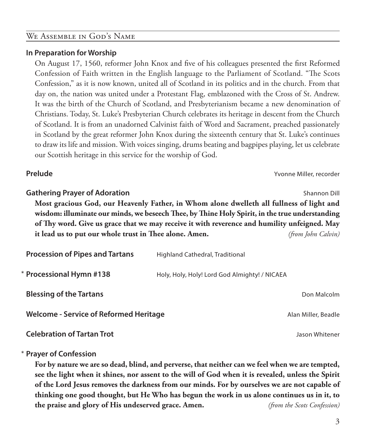## WE ASSEMBLE IN GOD'S NAME

#### **In Preparation for Worship**

 On August 17, 1560, reformer John Knox and five of his colleagues presented the first Reformed Confession of Faith written in the English language to the Parliament of Scotland. "The Scots Confession," as it is now known, united all of Scotland in its politics and in the church. From that day on, the nation was united under a Protestant Flag, emblazoned with the Cross of St. Andrew. It was the birth of the Church of Scotland, and Presbyterianism became a new denomination of Christians. Today, St. Luke's Presbyterian Church celebrates its heritage in descent from the Church of Scotland. It is from an unadorned Calvinist faith of Word and Sacrament, preached passionately in Scotland by the great reformer John Knox during the sixteenth century that St. Luke's continues to draw its life and mission. With voices singing, drums beating and bagpipes playing, let us celebrate our Scottish heritage in this service for the worship of God.

**Prelude** Yvonne Miller, recorder

## **Gathering Prayer of Adoration Shannon Dill Shannon Dill Shannon Dill Shannon Dill Most gracious God, our Heavenly Father, in Whom alone dwelleth all fullness of light and wisdom: illuminate our minds, we beseech Thee, by Thine Holy Spirit, in the true understanding of Thy word. Give us grace that we may receive it with reverence and humility unfeigned. May it lead us to put our whole trust in Thee alone. Amen.** *(from John Calvin)* **Procession of Pipes and Tartans** Highland Cathedral, Traditional Holy, Holy, Holy! Lord God Almighty! / NICAEA \* Processional Hymn #138

**Blessing of the Tartans and Science of the Tartans and Science of the Tartans and Science of the Tartans and Science of the Tartans and Science of the Tartans and Science of the Tartans and Science of the Tartans and Scie** 

**Welcome - Service of Reformed Heritage** *Alan Miller, Beadle* Alan Miller, Beadle

**Celebration of Tartan Trot** Jason Whitener

#### **Prayer of Confession** \*

 **For by nature we are so dead, blind, and perverse, that neither can we feel when we are tempted, see the light when it shines, nor assent to the will of God when it is revealed, unless the Spirit of the Lord Jesus removes the darkness from our minds. For by ourselves we are not capable of thinking one good thought, but He Who has begun the work in us alone continues us in it, to the praise and glory of His undeserved grace. Amen.** *(from the Scots Confession)*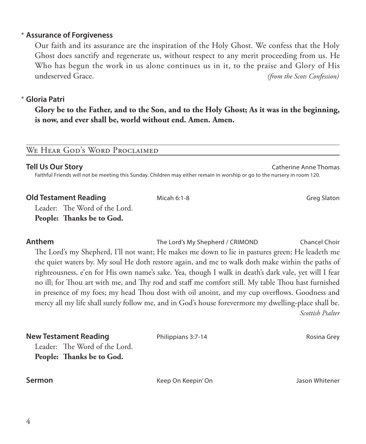#### **Assurance of Forgiveness** \*

 Our faith and its assurance are the inspiration of the Holy Ghost. We confess that the Holy Ghost does sanctify and regenerate us, without respect to any merit proceeding from us. He Who has begun the work in us alone continues us in it, to the praise and Glory of His undeserved Grace. *(from the Scots Confession)*

#### **Gloria Patri** \*

 **Glory be to the Father, and to the Son, and to the Holy Ghost; As it was in the beginning, is now, and ever shall be, world without end. Amen. Amen.**

#### WE HEAR GOD'S WORD PROCLAIMED

#### **Tell Us Our Story** Catherine Anne Thomas

Faithful Friends will not be meeting this Sunday. Children may either remain in worship or go to the nursery in room 120.

#### **Old Testament Reading** The Micah 6:1-8 Greating Great Great Great Great Great Great Great Great Great Great Great

Leader: The Word of the Lord.

#### **People: Thanks be to God.**

**Anthem The Lord's My Shepherd / CRIMOND** Chancel Choir

 The Lord's my Shepherd, I'll not want; He makes me down to lie in pastures green; He leadeth me the quiet waters by. My soul He doth restore again, and me to walk doth make within the paths of righteousness, e'en for His own name's sake. Yea, though I walk in death's dark vale, yet will I fear no ill; for Thou art with me, and Thy rod and staff me comfort still. My table Thou hast furnished in presence of my foes; my head Thou dost with oil anoint, and my cup overflows. Goodness and mercy all my life shall surely follow me, and in God's house forevermore my dwelling-place shall be.

*Scottish Psalter*

| <b>New Testament Reading</b>  | Philippians 3:7-14 | Rosina Grey    |
|-------------------------------|--------------------|----------------|
| Leader: The Word of the Lord. |                    |                |
| People: Thanks be to God.     |                    |                |
|                               |                    |                |
| Sermon                        | Keep On Keepin' On | Jason Whitener |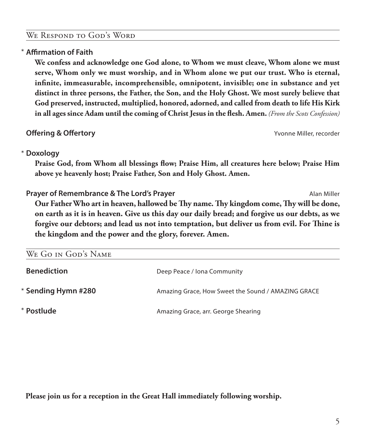#### We Respond to God's Word

#### **Affirmation of Faith** \*

 **We confess and acknowledge one God alone, to Whom we must cleave, Whom alone we must serve, Whom only we must worship, and in Whom alone we put our trust. Who is eternal, infinite, immeasurable, incomprehensible, omnipotent, invisible; one in substance and yet distinct in three persons, the Father, the Son, and the Holy Ghost. We most surely believe that God preserved, instructed, multiplied, honored, adorned, and called from death to life His Kirk in all ages since Adam until the coming of Christ Jesus in the flesh. Amen.** *(From the Scots Confession)*

**Offering & Offertory** Yvonne Miller, recorder

## **Doxology** \*

 **Praise God, from Whom all blessings flow; Praise Him, all creatures here below; Praise Him above ye heavenly host; Praise Father, Son and Holy Ghost. Amen.**

**Prayer of Remembrance & The Lord's Prayer** And According the Miller Alan Miller  **Our Father Who art in heaven, hallowed be Thy name. Thy kingdom come, Thy will be done, on earth as it is in heaven. Give us this day our daily bread; and forgive us our debts, as we forgive our debtors; and lead us not into temptation, but deliver us from evil. For Thine is the kingdom and the power and the glory, forever. Amen.**

| WE GO IN GOD'S NAME |                                                    |
|---------------------|----------------------------------------------------|
| <b>Benediction</b>  | Deep Peace / Iona Community                        |
| * Sending Hymn #280 | Amazing Grace, How Sweet the Sound / AMAZING GRACE |
| * Postlude          | Amazing Grace, arr. George Shearing                |

**Please join us for a reception in the Great Hall immediately following worship.**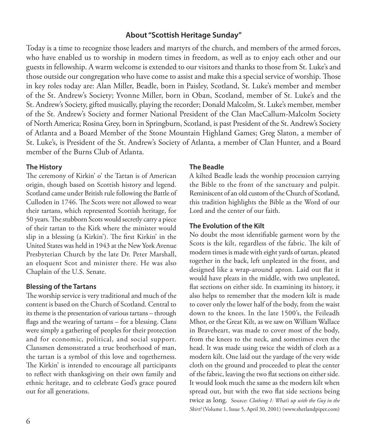#### **About "Scottish Heritage Sunday"**

Today is a time to recognize those leaders and martyrs of the church, and members of the armed forces, who have enabled us to worship in modern times in freedom, as well as to enjoy each other and our guests in fellowship. A warm welcome is extended to our visitors and thanks to those from St. Luke's and those outside our congregation who have come to assist and make this a special service of worship. Those in key roles today are: Alan Miller, Beadle, born in Paisley, Scotland, St. Luke's member and member of the St. Andrew's Society; Yvonne Miller, born in Oban, Scotland, member of St. Luke's and the St. Andrew's Society, gifted musically, playing the recorder; Donald Malcolm, St. Luke's member, member of the St. Andrew's Society and former National President of the Clan MacCallum-Malcolm Society of North America; Rosina Grey, born in Springburn, Scotland, is past President of the St. Andrew's Society of Atlanta and a Board Member of the Stone Mountain Highland Games; Greg Slaton, a member of St. Luke's, is President of the St. Andrew's Society of Atlanta, a member of Clan Hunter, and a Board member of the Burns Club of Atlanta.

#### **The History**

The ceremony of Kirkin' o' the Tartan is of American origin, though based on Scottish history and legend. Scotland came under British rule following the Battle of Culloden in 1746. The Scots were not allowed to wear their tartans, which represented Scottish heritage, for 50 years. The stubborn Scots would secretly carry a piece of their tartan to the Kirk where the minister would slip in a blessing (a Kirkin'). The first Kirkin' in the United States was held in 1943 at the New York Avenue Presbyterian Church by the late Dr. Peter Marshall, an eloquent Scot and minister there. He was also Chaplain of the U.S. Senate.

#### **Blessing of the Tartans**

The worship service is very traditional and much of the content is based on the Church of Scotland. Central to its theme is the presentation of various tartans – through flags and the wearing of tartans – for a blessing. Clans were simply a gathering of peoples for their protection and for economic, political, and social support. Clansmen demonstrated a true brotherhood of man, the tartan is a symbol of this love and togetherness. The Kirkin' is intended to encourage all participants to reflect with thanksgiving on their own family and ethnic heritage, and to celebrate God's grace poured out for all generations.

#### **The Beadle**

A kilted Beadle leads the worship procession carrying the Bible to the front of the sanctuary and pulpit. Reminiscent of an old custom of the Church of Scotland, this tradition highlights the Bible as the Word of our Lord and the center of our faith.

#### **The Evolution of the Kilt**

No doubt the most identifiable garment worn by the Scots is the kilt, regardless of the fabric. The kilt of modern times is made with eight yards of tartan, pleated together in the back, left unpleated in the front, and designed like a wrap-around apron. Laid out flat it would have pleats in the middle, with two unpleated, flat sections on either side. In examining its history, it also helps to remember that the modern kilt is made to cover only the lower half of the body, from the waist down to the knees. In the late 1500's, the Feileadh Mhor, or the Great Kilt, as we saw on William Wallace in Braveheart, was made to cover most of the body, from the knees to the neck, and sometimes even the head. It was made using twice the width of cloth as a modern kilt. One laid out the yardage of the very wide cloth on the ground and proceeded to pleat the center of the fabric, leaving the two flat sections on either side. It would look much the same as the modern kilt when spread out, but with the two flat side sections being twice as long. Source: *Clothing 1: What's up with the Guy in the Skirt?* (Volume 1, Issue 5, April 30, 2001) (www.shetlandpiper.com)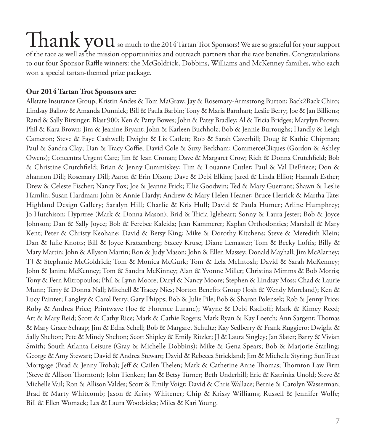## ${\rm \,That\,vol}$  so much to the 2014 Tartan Trot Sponsors! We are so grateful for your support of the race as well as the mission opportunities and outreach partners that the race benefits. Congratulations to our four Sponsor Raffle winners: the McGoldrick, Dobbins, Williams and McKenney families, who each won a special tartan-themed prize package.

#### **Our 2014 Tartan Trot Sponsors are:**

Allstate Insurance Group; Kristin Andes & Tom MaGraw; Jay & Rosemary-Armstrong Burton; Back2Back Chiro; Lindsay Ballow & Amanda Dunnick; Bill & Paula Barbin; Tony & Maria Barnhart; Leslie Berry; Joe & Jan Billions; Rand & Sally Birsinger; Blast 900; Ken & Patty Bowes; John & Patsy Bradley; Al & Tricia Bridges; Marylyn Brown; Phil & Kara Brown; Jim & Jeanine Bryant; John & Karleen Buchholz; Bob & Jennie Burroughs; Handly & Leigh Cameron; Steve & Faye Cashwell; Dwight & Liz Catlett; Rob & Sarah Caverhill; Doug & Kathie Chipman; Paul & Sandra Clay; Dan & Tracy Coffie; David Cole & Suzy Beckham; CommerceCliques (Gordon & Ashley Owens); Concentra Urgent Care; Jim & Jean Cronan; Dave & Margaret Crow; Rich & Donna Crutchfield; Bob & Christine Crutchfield; Brian & Jenny Cummiskey; Tim & Louanne Cutler; Paul & Val DeFriece; Don & Shannon Dill; Rosemary Dill; Aaron & Erin Dixon; Dave & Debi Elkins; Jared & Linda Elliot; Hannah Esther; Drew & Celeste Fischer; Nancy Fox; Joe & Jeanne Frick; Ellie Goodwin; Ted & Mary Guerrant; Shawn & Leslie Hamlin; Susan Hardman; John & Annie Hardy; Andrew & Mary Helen Heaner; Bruce Herrick & Martha Tate; Highland Design Gallery; Saralyn Hill; Charlie & Kris Hull; David & Paula Humer; Arline Humphrey; Jo Hutchison; Hyprtree (Mark & Donna Mason); Brid & Tricia Igleheart; Sonny & Laura Jester; Bob & Joyce Johnson; Dan & Sally Joyce; Bob & Ferebee Kaleida; Jean Kammerer; Kaplan Orthodontics; Marshall & Mary Kent; Peter & Christy Keohane; David & Betsy King; Mike & Dorothy Kitchens; Steve & Meredith Klein; Dan & Julie Knotts; Bill & Joyce Kratzenberg; Stacey Kruse; Diane Lemaster; Tom & Becky Loftis; Billy & Mary Martin; John & Allyson Martin; Ron & Judy Mason; John & Ellen Massey; Donald Mayhall; Jim McAlarney; TJ & Stephanie McGoldrick; Tom & Monica McGurk; Tom & Lela McIntosh; David & Sarah McKenney; John & Janine McKenney; Tom & Sandra McKinney; Alan & Yvonne Miller; Christina Mimms & Bob Morris; Tony & Fern Mitropoulos; Phil & Lynn Moore; Daryl & Nancy Moore; Stephen & Lindsay Moss; Chad & Laurie Munn; Terry & Donna Nall; Mitchell & Tracey Nies; Norton Benefits Group (Josh & Wendy Moreland); Ken & Lucy Painter; Langley & Carol Perry; Gary Phipps; Bob & Julie Pile; Bob & Sharon Polensek; Rob & Jenny Price; Roby & Andrea Price; Printwave (Joe & Florence Luranc); Wayne & Debi Radloff; Mark & Kimey Reed; Art & Mary Reid; Scott & Cathy Rice; Mark & Cathie Rogers; Mark Ryan & Kay Loerch; Ann Sargent; Thomas & Mary Grace Schaap; Jim & Edna Schell; Bob & Margaret Schultz; Kay Sedberry & Frank Ruggiero; Dwight & Sally Shelton; Pete & Mindy Shelton; Scott Shipley & Emily Ritzler; JJ & Laura Singley; Jan Slater; Barry & Vivian Smith; South Atlanta Leisure (Gray & Michelle Dobbins); Mike & Gena Spears; Bob & Marjorie Starling; George & Amy Stewart; David & Andrea Stewart; David & Rebecca Strickland; Jim & Michelle Styring; SunTrust Mortgage (Brad & Jenny Troha); Jeff & Cailen Thelen; Mark & Catherine Anne Thomas; Thornton Law Firm (Steve & Allison Thornton); John Tienken; Ian & Betsy Turner; Beth Underhill; Eric & Katrinka Unold; Steve & Michelle Vail; Ron & Allison Valdes; Scott & Emily Voigt; David & Chris Wallace; Bernie & Carolyn Wasserman; Brad & Marty Whitcomb; Jason & Kristy Whitener; Chip & Krissy Williams; Russell & Jennifer Wolfe; Bill & Ellen Womack; Les & Laura Woodsides; Miles & Kari Young.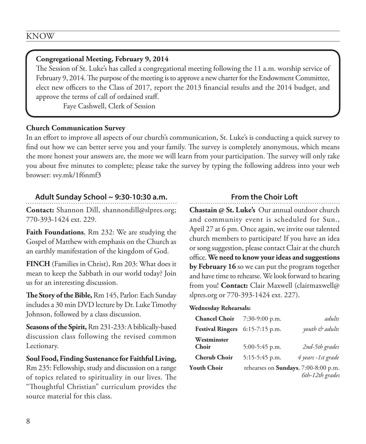#### **Congregational Meeting, February 9, 2014**

The Session of St. Luke's has called a congregational meeting following the 11 a.m. worship service of February 9, 2014. The purpose of the meeting is to approve a new charter for the Endowment Committee, elect new officers to the Class of 2017, report the 2013 financial results and the 2014 budget, and approve the terms of call of ordained staff.

Faye Cashwell, Clerk of Session

#### **Church Communication Survey**

In an effort to improve all aspects of our church's communication, St. Luke's is conducting a quick survey to find out how we can better serve you and your family. The survey is completely anonymous, which means the more honest your answers are, the more we will learn from your participation. The survey will only take you about five minutes to complete; please take the survey by typing the following address into your web browser: svy.mk/1f6nmf3

#### **Adult Sunday School ~ 9:30-10:30 a.m.**

**Contact:** Shannon Dill, shannondill@slpres.org; 770-393-1424 ext. 229.

**Faith Foundations**, Rm 232: We are studying the Gospel of Matthew with emphasis on the Church as an earthly manifestation of the kingdom of God.

**FINCH** (Families in Christ), Rm 203: What does it mean to keep the Sabbath in our world today? Join us for an interesting discussion.

**The Story of the Bible,** Rm 145, Parlor: Each Sunday includes a 30 min DVD lecture by Dr. Luke Timothy Johnson, followed by a class discussion.

**Seasons of the Spirit,** Rm 231-233: A biblically-based discussion class following the revised common Lectionary.

**Soul Food, Finding Sustenance for Faithful Living,** Rm 235: Fellowship, study and discussion on a range of topics related to spirituality in our lives. The "Thoughtful Christian" curriculum provides the source material for this class.

#### **From the Choir Loft**

**Chastain @ St. Luke's** Our annual outdoor church and community event is scheduled for Sun., April 27 at 6 pm. Once again, we invite our talented church members to participate! If you have an idea or song suggestion, please contact Clair at the church office. **We need to know your ideas and suggestions by February 16** so we can put the program together and have time to rehearse. We look forward to hearing from you! **Contact:** Clair Maxwell (clairmaxwell@ slpres.org or 770-393-1424 ext. 227).

#### **Wednesday Rehearsals:**

| <b>Chancel Choir</b> $7:30-9:00$ p.m. |                  | adults                                                          |
|---------------------------------------|------------------|-----------------------------------------------------------------|
| Festival Ringers 6:15-7:15 p.m.       |                  | youth & adults                                                  |
| Westminster<br>Choir                  | 5:00-5:45 p.m.   | 2nd-5th grades                                                  |
| <b>Cherub Choir</b>                   | $5:15-5:45$ p.m. | 4 years -1st grade                                              |
| Youth Choir                           |                  | rehearses on <b>Sundays</b> , 7:00-8:00 p.m.<br>6th-12th grades |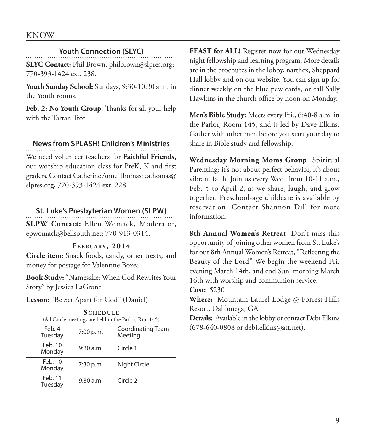#### KNOW

#### **Youth Connection (SLYC)**

**SLYC Contact:** Phil Brown, philbrown@slpres.org; 770-393-1424 ext. 238.

**Youth Sunday School:** Sundays, 9:30-10:30 a.m. in the Youth rooms.

**Feb. 2: No Youth Group**. Thanks for all your help with the Tartan Trot.

#### **News from SPLASH! Children's Ministries**

We need volunteer teachers for **Faithful Friends,** our worship education class for PreK, K and first graders. Contact Catherine Anne Thomas: cathomas@ slpres.org, 770-393-1424 ext. 228.

#### **St. Luke's Presbyterian Women (SLPW)**

**SLPW Contact:** Ellen Womack, Moderator, epwomack@bellsouth.net; 770-913-0314.

#### **F e b r ua ry , 2014**

**Circle item:** Snack foods, candy, other treats, and money for postage for Valentine Boxes

**Book Study:** "Namesake: When God Rewrites Your Story" by Jessica LaGrone

**Lesson:** "Be Set Apart for God" (Daniel)

| <b>SCHEDULE</b>                                       |  |  |  |
|-------------------------------------------------------|--|--|--|
| (All Circle meetings are held in the Parlor, Rm. 145) |  |  |  |

| Feb. 4<br>Tuesday  | 7:00 p.m. | Coordinating Team<br>Meeting |
|--------------------|-----------|------------------------------|
| Feb. 10<br>Monday  | 9:30 a.m. | Circle 1                     |
| Feb. 10<br>Monday  | 7:30 p.m. | Night Circle                 |
| Feb. 11<br>Tuesday | 9:30 a.m. | Circle 2                     |

**FEAST for ALL!** Register now for our Wednesday night fellowship and learning program. More details are in the brochures in the lobby, narthex, Sheppard Hall lobby and on our website. You can sign up for dinner weekly on the blue pew cards, or call Sally Hawkins in the church office by noon on Monday.

**Men's Bible Study:** Meets every Fri., 6:40-8 a.m. in the Parlor, Room 145, and is led by Dave Elkins. Gather with other men before you start your day to share in Bible study and fellowship.

**Wednesday Morning Moms Group** Spiritual Parenting: it's not about perfect behavior, it's about vibrant faith! Join us every Wed. from 10-11 a.m., Feb. 5 to April 2, as we share, laugh, and grow together. Preschool-age childcare is available by reservation. Contact Shannon Dill for more information.

**8th Annual Women's Retreat** Don't miss this opportunity of joining other women from St. Luke's for our 8th Annual Women's Retreat, "Reflecting the Beauty of the Lord" We begin the weekend Fri. evening March 14th, and end Sun. morning March 16th with worship and communion service.

**Cost:** \$230

**Where:** Mountain Laurel Lodge @ Forrest Hills Resort, Dahlonega, GA

**Details:** Available in the lobby or contact Debi Elkins (678-640-0808 or debi.elkins@att.net).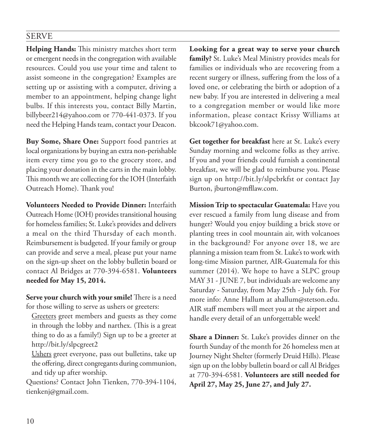#### SERVE

**Helping Hands:** This ministry matches short term or emergent needs in the congregation with available resources. Could you use your time and talent to assist someone in the congregation? Examples are setting up or assisting with a computer, driving a member to an appointment, helping change light bulbs. If this interests you, contact Billy Martin, billybeer214@yahoo.com or 770-441-0373. If you need the Helping Hands team, contact your Deacon.

**Buy Some, Share One:** Support food pantries at local organizations by buying an extra non-perishable item every time you go to the grocery store, and placing your donation in the carts in the main lobby. This month we are collecting for the IOH (Interfaith Outreach Home). Thank you!

**Volunteers Needed to Provide Dinner:** Interfaith Outreach Home (IOH) provides transitional housing for homeless families; St. Luke's provides and delivers a meal on the third Thursday of each month. Reimbursement is budgeted. If your family or group can provide and serve a meal, please put your name on the sign-up sheet on the lobby bulletin board or contact Al Bridges at 770-394-6581. **Volunteers needed for May 15, 2014.**

**Serve your church with your smile!** There is a need for those willing to serve as ushers or greeters:

 Greeters greet members and guests as they come in through the lobby and narthex. (This is a great thing to do as a family!) Sign up to be a greeter at http://bit.ly/slpcgreet2

 Ushers greet everyone, pass out bulletins, take up the offering, direct congregants during communion, and tidy up after worship.

Questions? Contact John Tienken, 770-394-1104, tienkenj@gmail.com.

**Looking for a great way to serve your church family?** St. Luke's Meal Ministry provides meals for families or individuals who are recovering from a recent surgery or illness, suffering from the loss of a loved one, or celebrating the birth or adoption of a new baby. If you are interested in delivering a meal to a congregation member or would like more information, please contact Krissy Williams at bkcook71@yahoo.com.

**Get together for breakfast** here at St. Luke's every Sunday morning and welcome folks as they arrive. If you and your friends could furnish a continental breakfast, we will be glad to reimburse you. Please sign up on http://bit.ly/slpcbrkfst or contact Jay Burton, jburton@mfllaw.com.

**Mission Trip to spectacular Guatemala:** Have you ever rescued a family from lung disease and from hunger? Would you enjoy building a brick stove or planting trees in cool mountain air, with volcanoes in the background? For anyone over 18, we are planning a mission team from St. Luke's to work with long-time Mission partner, AIR-Guatemala for this summer (2014). We hope to have a SLPC group MAY 31 - JUNE 7, but individuals are welcome any Saturday - Saturday, from May 25th - July 6th. For more info: Anne Hallum at ahallum@stetson.edu. AIR staff members will meet you at the airport and handle every detail of an unforgettable week!

**Share a Dinner:** St. Luke's provides dinner on the fourth Sunday of the month for 26 homeless men at Journey Night Shelter (formerly Druid Hills). Please sign up on the lobby bulletin board or call Al Bridges at 770-394-6581. **Volunteers are still needed for April 27, May 25, June 27, and July 27.**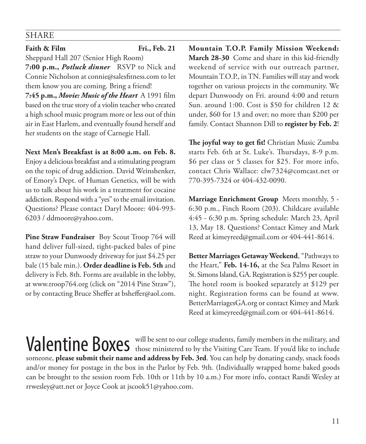### SHARE

#### **Faith & Film Fri., Feb. 21**

Sheppard Hall 207 (Senior High Room)

**7:00 p.m.,** *Potluck dinner*RSVP to Nick and Connie Nicholson at connie@salesfitness.com to let them know you are coming. Bring a friend!

**7:45 p.m.,** *Movie: Music of the Heart*A 1991 film based on the true story of a violin teacher who created a high school music program more or less out of thin air in East Harlem, and eventually found herself and her students on the stage of Carnegie Hall.

**Next Men's Breakfast is at 8:00 a.m. on Feb. 8.**  Enjoy a delicious breakfast and a stimulating program on the topic of drug addiction. David Weinshenker, of Emory's Dept. of Human Genetics, will be with us to talk about his work in a treatment for cocaine addiction. Respond with a "yes" to the email invitation. Questions? Please contact Daryl Moore: 404-993- 6203 / ddmoore@yahoo.com.

**Pine Straw Fundraiser** Boy Scout Troop 764 will hand deliver full-sized, tight-packed bales of pine straw to your Dunwoody driveway for just \$4.25 per bale (15 bale min.). **Order deadline is Feb. 5th** and delivery is Feb. 8th. Forms are available in the lobby, at www.troop764.org (click on "2014 Pine Straw"), or by contacting Bruce Sheffer at bsheffer@aol.com.

**Mountain T.O.P. Family Mission Weekend: March 28-30** Come and share in this kid-friendly weekend of service with our outreach partner, Mountain T.O.P., in TN. Families will stay and work together on various projects in the community. We depart Dunwoody on Fri. around 4:00 and return Sun. around 1:00. Cost is \$50 for children 12 & under, \$60 for 13 and over; no more than \$200 per family. Contact Shannon Dill to **register by Feb. 2**!

**The joyful way to get fit!** Christian Music Zumba starts Feb. 6th at St. Luke's. Thursdays, 8-9 p.m. \$6 per class or 5 classes for \$25. For more info, contact Chris Wallace: clw7324@comcast.net or 770-395-7324 or 404-432-0090.

**Marriage Enrichment Group** Meets monthly, 5 - 6:30 p.m., Finch Room (203). Childcare available 4:45 - 6:30 p.m. Spring schedule: March 23, April 13, May 18. Questions? Contact Kimey and Mark Reed at kimeyreed@gmail.com or 404-441-8614.

**Better Marriages Getaway Weekend**, "Pathways to the Heart," **Feb. 14-16,** at the Sea Palms Resort in St. Simons Island, GA. Registration is \$255 per couple. The hotel room is booked separately at \$129 per night. Registration forms can be found at www. BetterMarriagesGA.org or contact Kimey and Mark Reed at kimeyreed@gmail.com or 404-441-8614.

Valentine Boxes will be sent to our college students, family members in the military, and those ministered to by the Visiting Care Team. If you'd like to include someone, **please submit their name and address by Feb. 3rd**. You can help by donating candy, snack foods and/or money for postage in the box in the Parlor by Feb. 9th. (Individually wrapped home baked goods can be brought to the session room Feb. 10th or 11th by 10 a.m.) For more info, contact Randi Wesley at rrwesley@att.net or Joyce Cook at jscook51@yahoo.com.